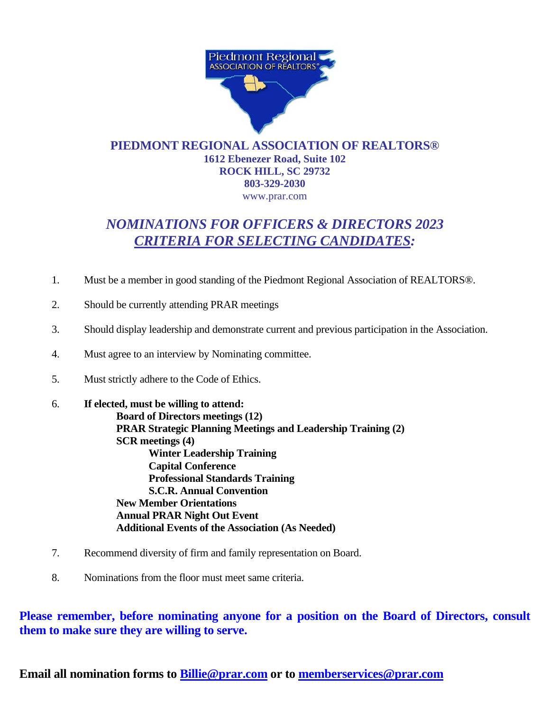

## **PIEDMONT REGIONAL ASSOCIATION OF REALTORS® 1612 Ebenezer Road, Suite 102 ROCK HILL, SC 29732 803-329-2030**  www.prar.com

## *NOMINATIONS FOR OFFICERS & DIRECTORS 2023 CRITERIA FOR SELECTING CANDIDATES:*

- 1. Must be a member in good standing of the Piedmont Regional Association of REALTORS®.
- 2. Should be currently attending PRAR meetings
- 3. Should display leadership and demonstrate current and previous participation in the Association.
- 4. Must agree to an interview by Nominating committee.
- 5. Must strictly adhere to the Code of Ethics.

6. **If elected, must be willing to attend: Board of Directors meetings (12) PRAR Strategic Planning Meetings and Leadership Training (2) SCR meetings (4) Winter Leadership Training Capital Conference Professional Standards Training S.C.R. Annual Convention New Member Orientations Annual PRAR Night Out Event Additional Events of the Association (As Needed)**

- 7. Recommend diversity of firm and family representation on Board.
- 8. Nominations from the floor must meet same criteria.

**Please remember, before nominating anyone for a position on the Board of Directors, consult them to make sure they are willing to serve.**